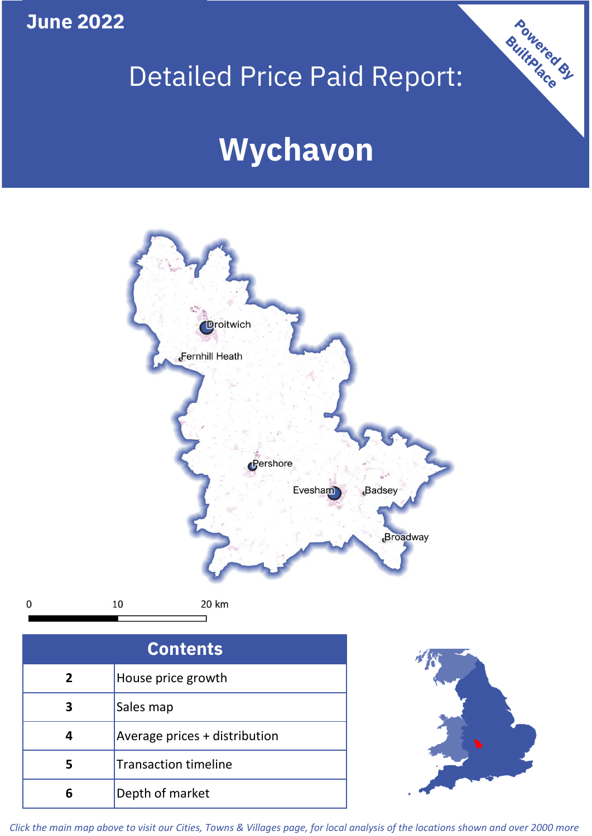**June 2022**

 $\mathbf 0$ 

# Detailed Price Paid Report:

# **Wychavon**



**5 4 3** Sales map Average prices + distribution Transaction timeline **6** Depth of market



Powered By

*Click the main map above to visit our Cities, Towns & Villages page, for local analysis of the locations shown and over 2000 more*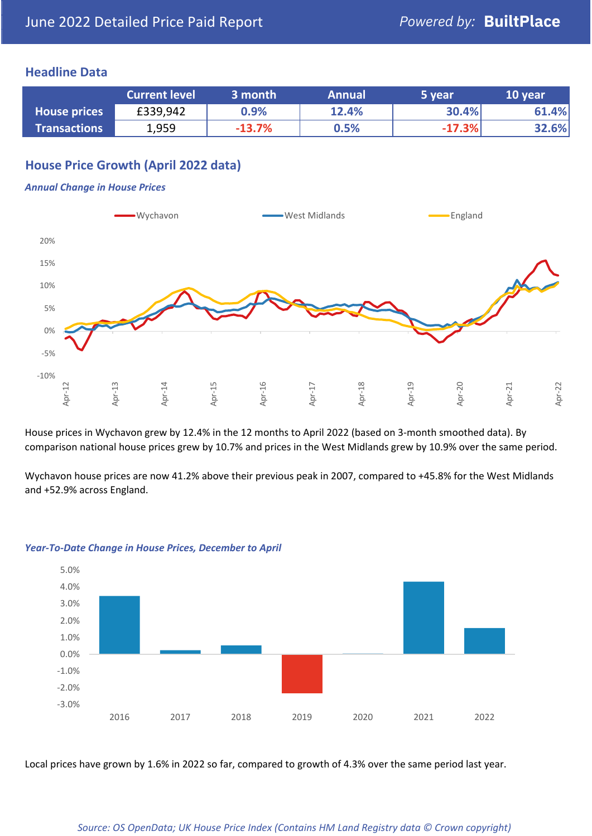### **Headline Data**

|                     | <b>Current level</b> | 3 month  | <b>Annual</b> | 5 year   | 10 year |
|---------------------|----------------------|----------|---------------|----------|---------|
| <b>House prices</b> | £339,942             | 0.9%     | 12.4%         | 30.4%    | 61.4%   |
| <b>Transactions</b> | 1,959                | $-13.7%$ | 0.5%          | $-17.3%$ | 32.6%   |

## **House Price Growth (April 2022 data)**

#### *Annual Change in House Prices*



House prices in Wychavon grew by 12.4% in the 12 months to April 2022 (based on 3-month smoothed data). By comparison national house prices grew by 10.7% and prices in the West Midlands grew by 10.9% over the same period.

Wychavon house prices are now 41.2% above their previous peak in 2007, compared to +45.8% for the West Midlands and +52.9% across England.



#### *Year-To-Date Change in House Prices, December to April*

Local prices have grown by 1.6% in 2022 so far, compared to growth of 4.3% over the same period last year.

#### *Source: OS OpenData; UK House Price Index (Contains HM Land Registry data © Crown copyright)*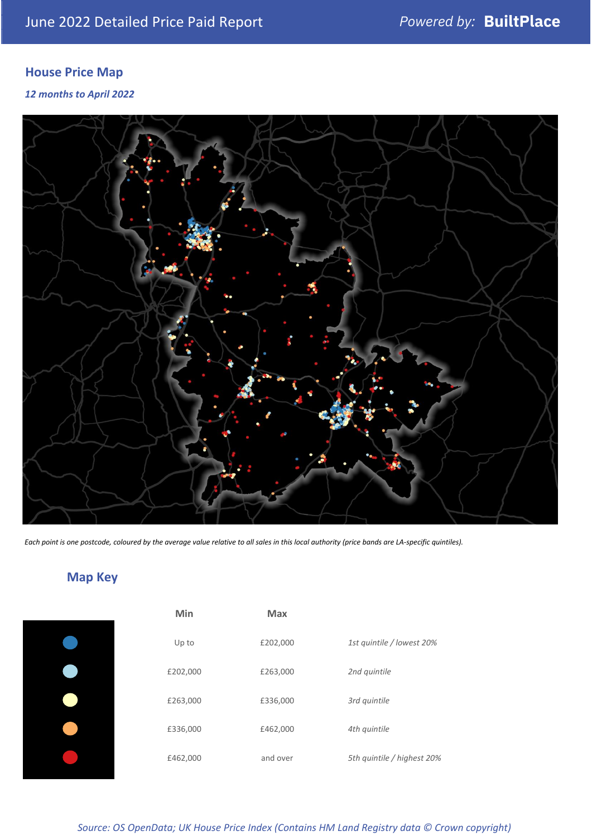# **House Price Map**

*12 months to April 2022*



*Each point is one postcode, coloured by the average value relative to all sales in this local authority (price bands are LA-specific quintiles).*

# **Map Key**

|  | Min      | <b>Max</b> |              |
|--|----------|------------|--------------|
|  | Up to    | £202,000   | 1st quintile |
|  | £202,000 | £263,000   | 2nd quintile |
|  | £263,000 | £336,000   | 3rd quintile |
|  | £336,000 | £462,000   | 4th quintile |
|  | £462,000 | and over   | 5th quintile |
|  |          |            |              |

*Source: OS OpenData; UK House Price Index (Contains HM Land Registry data © Crown copyright)*

0% Up to £202,000 *1st quintile / lowest 20%*

5th quintile / highest 20%

2nd quintile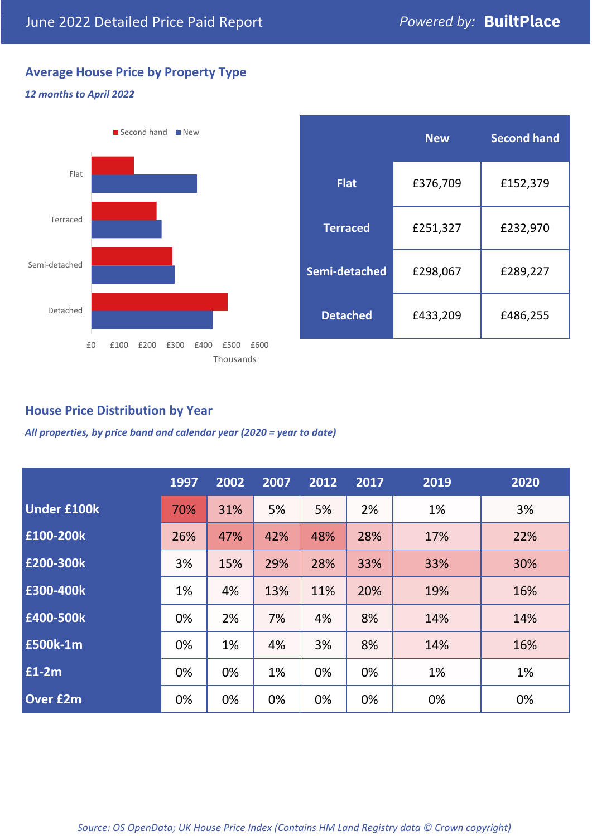# **Average House Price by Property Type**

#### *12 months to April 2022*



|                 | <b>New</b> | <b>Second hand</b> |  |  |
|-----------------|------------|--------------------|--|--|
| <b>Flat</b>     | £376,709   | £152,379           |  |  |
| <b>Terraced</b> | £251,327   | £232,970           |  |  |
| Semi-detached   | £298,067   | £289,227           |  |  |
| <b>Detached</b> | £433,209   | £486,255           |  |  |

## **House Price Distribution by Year**

*All properties, by price band and calendar year (2020 = year to date)*

|                    | 1997 | 2002 | 2007 | 2012 | 2017 | 2019 | 2020 |
|--------------------|------|------|------|------|------|------|------|
| <b>Under £100k</b> | 70%  | 31%  | 5%   | 5%   | 2%   | 1%   | 3%   |
| £100-200k          | 26%  | 47%  | 42%  | 48%  | 28%  | 17%  | 22%  |
| E200-300k          | 3%   | 15%  | 29%  | 28%  | 33%  | 33%  | 30%  |
| £300-400k          | 1%   | 4%   | 13%  | 11%  | 20%  | 19%  | 16%  |
| £400-500k          | 0%   | 2%   | 7%   | 4%   | 8%   | 14%  | 14%  |
| £500k-1m           | 0%   | 1%   | 4%   | 3%   | 8%   | 14%  | 16%  |
| £1-2m              | 0%   | 0%   | 1%   | 0%   | 0%   | 1%   | 1%   |
| <b>Over £2m</b>    | 0%   | 0%   | 0%   | 0%   | 0%   | 0%   | 0%   |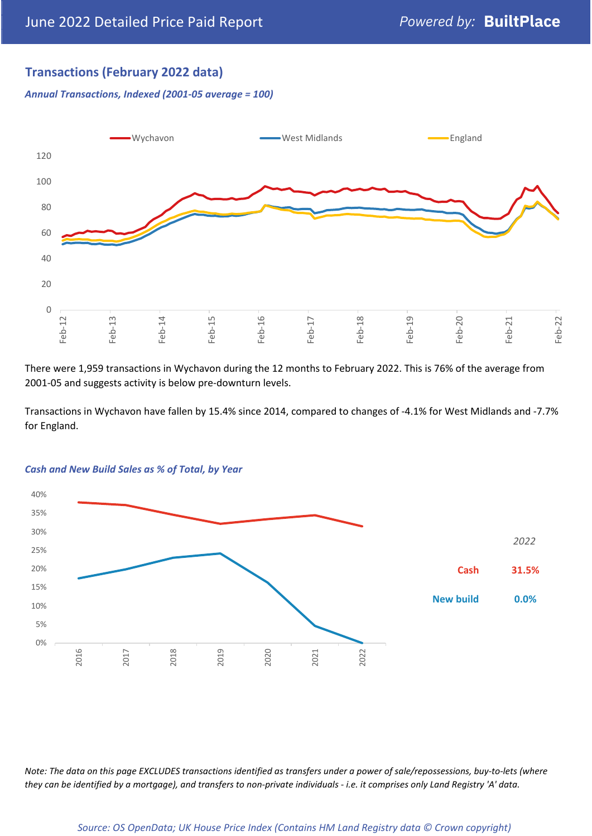## **Transactions (February 2022 data)**

*Annual Transactions, Indexed (2001-05 average = 100)*



There were 1,959 transactions in Wychavon during the 12 months to February 2022. This is 76% of the average from 2001-05 and suggests activity is below pre-downturn levels.

Transactions in Wychavon have fallen by 15.4% since 2014, compared to changes of -4.1% for West Midlands and -7.7% for England.



#### *Cash and New Build Sales as % of Total, by Year*

*Note: The data on this page EXCLUDES transactions identified as transfers under a power of sale/repossessions, buy-to-lets (where they can be identified by a mortgage), and transfers to non-private individuals - i.e. it comprises only Land Registry 'A' data.*